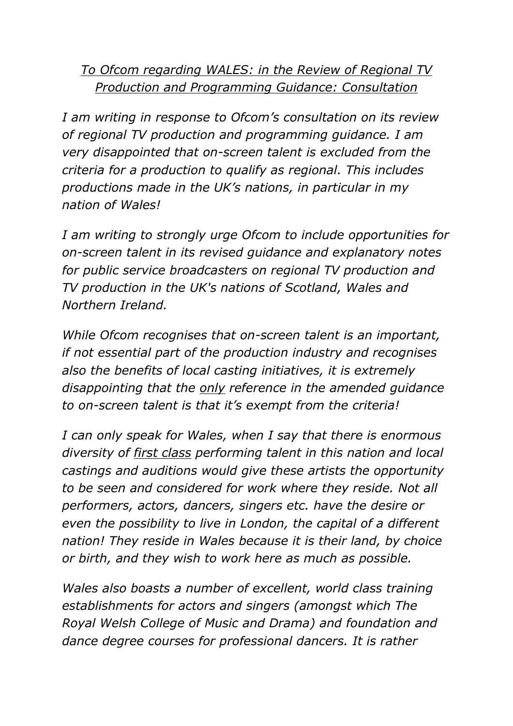## *To Ofcom regarding WALES: in the Review of Regional TV Production and Programming Guidance: Consultation*

*I am writing in response to Ofcom's consultation on its review of regional TV production and programming guidance. I am very disappointed that on-screen talent is excluded from the criteria for a production to qualify as regional. This includes productions made in the UK's nations, in particular in my nation of Wales!*

*I am writing to strongly urge Ofcom to include opportunities for on-screen talent in its revised guidance and explanatory notes for public service broadcasters on regional TV production and TV production in the UK's nations of Scotland, Wales and Northern Ireland.* 

*While Ofcom recognises that on-screen talent is an important, if not essential part of the production industry and recognises also the benefits of local casting initiatives, it is extremely disappointing that the only reference in the amended guidance to on-screen talent is that it's exempt from the criteria!*

*I can only speak for Wales, when I say that there is enormous diversity of first class performing talent in this nation and local castings and auditions would give these artists the opportunity to be seen and considered for work where they reside. Not all performers, actors, dancers, singers etc. have the desire or even the possibility to live in London, the capital of a different nation! They reside in Wales because it is their land, by choice or birth, and they wish to work here as much as possible.*

*Wales also boasts a number of excellent, world class training establishments for actors and singers (amongst which The Royal Welsh College of Music and Drama) and foundation and dance degree courses for professional dancers. It is rather*